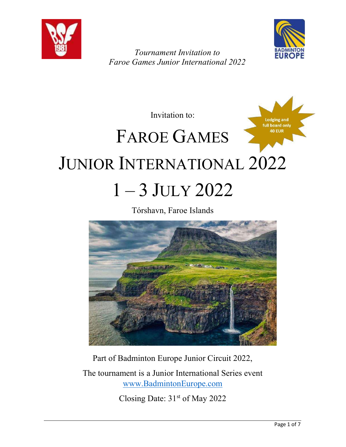



Lodging and

Tournament Invitation to Faroe Games Junior International 2022

Invitation to:

# full board only 40 EUR FAROE GAMES JUNIOR INTERNATIONAL 2022 1 – 3 JULY 2022

Tórshavn, Faroe Islands



Part of Badminton Europe Junior Circuit 2022,

The tournament is a Junior International Series event www.BadmintonEurope.com

Closing Date: 31st of May 2022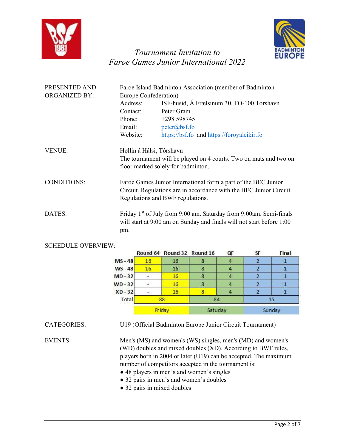



| PRESENTED AND        | Faroe Island Badminton Association (member of Badminton                                                                                                                  |                                                                                                         |  |
|----------------------|--------------------------------------------------------------------------------------------------------------------------------------------------------------------------|---------------------------------------------------------------------------------------------------------|--|
| <b>ORGANIZED BY:</b> | Europe Confederation)                                                                                                                                                    |                                                                                                         |  |
|                      | Address:                                                                                                                                                                 | ISF-husid, Á Frælsinum 30, FO-100 Tórshavn                                                              |  |
|                      | Contact:                                                                                                                                                                 | Peter Gram                                                                                              |  |
|                      | Phone:                                                                                                                                                                   | +298 598745                                                                                             |  |
|                      | Email:                                                                                                                                                                   | $peter(a)$ bsf.fo                                                                                       |  |
|                      | Website:                                                                                                                                                                 | https://bsf.fo and https://foroyaleikir.fo                                                              |  |
| <b>VENUE:</b>        |                                                                                                                                                                          | Høllin á Hálsi, Tórshavn                                                                                |  |
|                      |                                                                                                                                                                          | The tournament will be played on 4 courts. Two on mats and two on<br>floor marked solely for badminton. |  |
| CONDITIONS:          | Faroe Games Junior International form a part of the BEC Junior<br>Circuit. Regulations are in accordance with the BEC Junior Circuit<br>Regulations and BWF regulations. |                                                                                                         |  |
| DATES:               | Friday 1 <sup>st</sup> of July from 9:00 am. Saturday from 9:00am. Semi-finals<br>will start at 9:00 am on Sunday and finals will not start before 1:00<br>pm.           |                                                                                                         |  |

#### SCHEDULE OVERVIEW:

|           |        | Round 64 Round 32 Round 16 |         | QF | SF | Final  |
|-----------|--------|----------------------------|---------|----|----|--------|
| $MS - 48$ | 16     | 16                         | 8       |    |    |        |
| $WS - 48$ | 16     | 16                         | 8       |    |    |        |
| $MD-32$   |        | 16                         |         | 4  |    |        |
| $ND - 32$ |        | 16                         | 8       | 4  |    |        |
| $XD - 32$ |        | 16                         | g       |    |    |        |
| Total     | 88     | 84                         |         |    | 15 |        |
|           | Friday |                            | Satuday |    |    | Sunday |

CATEGORIES: U19 (Official Badminton Europe Junior Circuit Tournament)

EVENTS: Men's (MS) and women's (WS) singles, men's (MD) and women's (WD) doubles and mixed doubles (XD). According to BWF rules, players born in 2004 or later (U19) can be accepted. The maximum number of competitors accepted in the tournament is:

- 48 players in men's and women's singles
- 32 pairs in men's and women's doubles
- 32 pairs in mixed doubles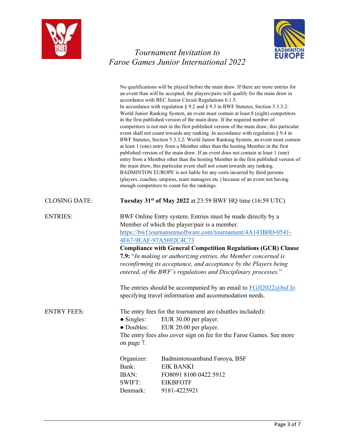



|                      | No qualifications will be played before the main draw. If there are more entries for<br>an event than will be accepted, the players/pairs will qualify for the main draw in<br>accordance with BEC Junior Circuit Regulations 6.1.5.<br>In accordance with regulation $\S 9.2$ and $\S 9.3$ in BWF Statutes, Section 5.3.3.2:<br>World Junior Ranking System, an event must contain at least 8 (eight) competitors<br>in the first published version of the main draw. If the required number of<br>competitors is not met in the first published version of the main draw, this particular<br>event shall not count towards any ranking. In accordance with regulation § 9.4 in<br>BWF Statutes, Section 5.3.3.2: World Junior Ranking System, an event must contain<br>at least 1 (one) entry from a Member other than the hosting Member in the first<br>published version of the main draw. If an event does not contain at least 1 (one)<br>entry from a Member other than the hosting Member in the first published version of<br>the main draw, this particular event shall not count towards any ranking.<br>BADMINTON EUROPE is not liable for any costs incurred by third persons<br>(players, coaches, umpires, team managers etc.) because of an event not having<br>enough competitors to count for the rankings. |  |
|----------------------|--------------------------------------------------------------------------------------------------------------------------------------------------------------------------------------------------------------------------------------------------------------------------------------------------------------------------------------------------------------------------------------------------------------------------------------------------------------------------------------------------------------------------------------------------------------------------------------------------------------------------------------------------------------------------------------------------------------------------------------------------------------------------------------------------------------------------------------------------------------------------------------------------------------------------------------------------------------------------------------------------------------------------------------------------------------------------------------------------------------------------------------------------------------------------------------------------------------------------------------------------------------------------------------------------------------------------------|--|
| <b>CLOSING DATE:</b> | Tuesday 31 <sup>st</sup> of May 2022 at 23:59 BWF HQ time (16:59 UTC)                                                                                                                                                                                                                                                                                                                                                                                                                                                                                                                                                                                                                                                                                                                                                                                                                                                                                                                                                                                                                                                                                                                                                                                                                                                          |  |
| <b>ENTRIES:</b>      | BWF Online Entry system. Entries must be made directly by a<br>Member of which the player/pair is a member.<br>https://bwf.tournamentsoftware.com/tournament/4A143B0D-0541-<br>4F67-9EAF-97A5692C4C73<br><b>Compliance with General Competition Regulations (GCR) Clause</b><br>7.9: "In making or authorizing entries, the Member concerned is<br>reconfirming its acceptance, and acceptance by the Players being<br>entered, of the BWF's regulations and Disciplinary processes."<br>The entries should be accompanied by an email to $FGJ12022@bsf.$ for<br>specifying travel information and accommodation needs.                                                                                                                                                                                                                                                                                                                                                                                                                                                                                                                                                                                                                                                                                                        |  |
| <b>ENTRY FEES:</b>   | The entry fees for the tournament are (shuttles included):<br>$\bullet$ Singles:<br>EUR 30.00 per player.<br>• Doubles:<br>EUR 20.00 per player.<br>The entry fees also cover sign on fee for the Faroe Games. See more<br>on page 7.<br>Organizer:<br>Badmintonsamband Føroya, BSF<br>Bank:<br><b>EIK BANKI</b><br><b>IBAN:</b><br>FO8091 8100 0422 5912<br>SWIFT:<br><b>EIKBFOTF</b><br>Denmark:<br>9181-4225921                                                                                                                                                                                                                                                                                                                                                                                                                                                                                                                                                                                                                                                                                                                                                                                                                                                                                                             |  |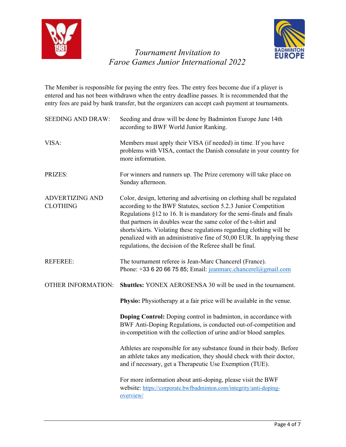



The Member is responsible for paying the entry fees. The entry fees become due if a player is entered and has not been withdrawn when the entry deadline passes. It is recommended that the entry fees are paid by bank transfer, but the organizers can accept cash payment at tournaments.

| <b>SEEDING AND DRAW:</b>                  | Seeding and draw will be done by Badminton Europe June 14th<br>according to BWF World Junior Ranking.                                                                                                                                                                                                                                                                                                                                                                                                |
|-------------------------------------------|------------------------------------------------------------------------------------------------------------------------------------------------------------------------------------------------------------------------------------------------------------------------------------------------------------------------------------------------------------------------------------------------------------------------------------------------------------------------------------------------------|
| VISA:                                     | Members must apply their VISA (if needed) in time. If you have<br>problems with VISA, contact the Danish consulate in your country for<br>more information.                                                                                                                                                                                                                                                                                                                                          |
| PRIZES:                                   | For winners and runners up. The Prize ceremony will take place on<br>Sunday afternoon.                                                                                                                                                                                                                                                                                                                                                                                                               |
| <b>ADVERTIZING AND</b><br><b>CLOTHING</b> | Color, design, lettering and advertising on clothing shall be regulated<br>according to the BWF Statutes, section 5.2.3 Junior Competition<br>Regulations §12 to 16. It is mandatory for the semi-finals and finals<br>that partners in doubles wear the same color of the t-shirt and<br>shorts/skirts. Violating these regulations regarding clothing will be<br>penalized with an administrative fine of 50,00 EUR. In applying these<br>regulations, the decision of the Referee shall be final. |
| <b>REFEREE:</b>                           | The tournament referee is Jean-Marc Chancerel (France).<br>Phone: +33 6 20 66 75 85; Email: jeanmarc.chancerel@gmail.com                                                                                                                                                                                                                                                                                                                                                                             |
| <b>OTHER INFORMATION:</b>                 | <b>Shuttles:</b> YONEX AEROSENSA 30 will be used in the tournament.                                                                                                                                                                                                                                                                                                                                                                                                                                  |
|                                           | Physio: Physiotherapy at a fair price will be available in the venue.                                                                                                                                                                                                                                                                                                                                                                                                                                |
|                                           | Doping Control: Doping control in badminton, in accordance with<br>BWF Anti-Doping Regulations, is conducted out-of-competition and<br>in-competition with the collection of urine and/or blood samples.                                                                                                                                                                                                                                                                                             |
|                                           | Athletes are responsible for any substance found in their body. Before<br>an athlete takes any medication, they should check with their doctor,<br>and if necessary, get a Therapeutic Use Exemption (TUE).                                                                                                                                                                                                                                                                                          |
|                                           | For more information about anti-doping, please visit the BWF<br>website: https://corporate.bwfbadminton.com/integrity/anti-doping-<br>overview/                                                                                                                                                                                                                                                                                                                                                      |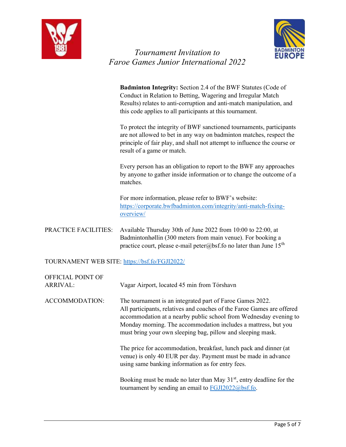



 Badminton Integrity: Section 2.4 of the BWF Statutes (Code of Conduct in Relation to Betting, Wagering and Irregular Match Results) relates to anti-corruption and anti-match manipulation, and this code applies to all participants at this tournament.

To protect the integrity of BWF sanctioned tournaments, participants are not allowed to bet in any way on badminton matches, respect the principle of fair play, and shall not attempt to influence the course or result of a game or match.

Every person has an obligation to report to the BWF any approaches by anyone to gather inside information or to change the outcome of a matches.

For more information, please refer to BWF's website: https://corporate.bwfbadminton.com/integrity/anti-match-fixingoverview/

PRACTICE FACILITIES: Available Thursday 30th of June 2022 from 10:00 to 22:00, at Badmintonhøllin (300 meters from main venue). For booking a practice court, please e-mail peter@bsf.fo no later than June  $15<sup>th</sup>$ 

#### TOURNAMENT WEB SITE: https://bsf.fo/FGJI2022/

| OFFICIAL POINT OF<br><b>ARRIVAL:</b> | Vagar Airport, located 45 min from Tórshavn                                                                                                                                                                                                                                                                                               |
|--------------------------------------|-------------------------------------------------------------------------------------------------------------------------------------------------------------------------------------------------------------------------------------------------------------------------------------------------------------------------------------------|
| ACCOMMODATION:                       | The tournament is an integrated part of Faroe Games 2022.<br>All participants, relatives and coaches of the Faroe Games are offered<br>accommodation at a nearby public school from Wednesday evening to<br>Monday morning. The accommodation includes a mattress, but you<br>must bring your own sleeping bag, pillow and sleeping mask. |
|                                      | The price for accommodation, breakfast, lunch pack and dinner (at<br>venue) is only 40 EUR per day. Payment must be made in advance<br>using same banking information as for entry fees.                                                                                                                                                  |
|                                      | Booking must be made no later than May $31st$ , entry deadline for the<br>tournament by sending an email to $FGJI2022@bsf.f.$                                                                                                                                                                                                             |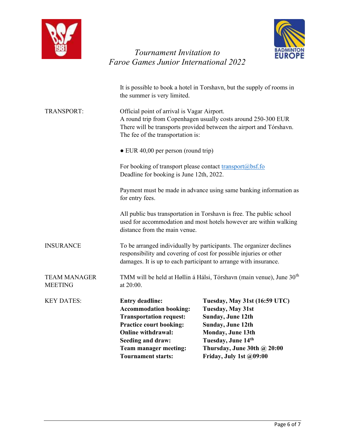



|                                       | <b>Transportation request:</b><br><b>Practice court booking:</b><br><b>Online withdrawal:</b><br>Seeding and draw:<br>Team manager meeting:<br><b>Tournament starts:</b>                                                 | Sunday, June 12th<br>Sunday, June 12th<br>Monday, June 13th<br>Tuesday, June 14th<br>Thursday, June 30th @ 20:00<br>Friday, July 1st @09:00 |  |
|---------------------------------------|--------------------------------------------------------------------------------------------------------------------------------------------------------------------------------------------------------------------------|---------------------------------------------------------------------------------------------------------------------------------------------|--|
| <b>KEY DATES:</b>                     | <b>Entry deadline:</b><br><b>Accommodation booking:</b>                                                                                                                                                                  | Tuesday, May 31st (16:59 UTC)<br><b>Tuesday, May 31st</b>                                                                                   |  |
| <b>TEAM MANAGER</b><br><b>MEETING</b> | TMM will be held at Høllin á Hálsi, Tórshavn (main venue), June 30 <sup>th</sup><br>at 20:00.                                                                                                                            |                                                                                                                                             |  |
| <b>INSURANCE</b>                      | To be arranged individually by participants. The organizer declines<br>responsibility and covering of cost for possible injuries or other<br>damages. It is up to each participant to arrange with insurance.            |                                                                                                                                             |  |
|                                       | distance from the main venue.                                                                                                                                                                                            | All public bus transportation in Torshavn is free. The public school<br>used for accommodation and most hotels however are within walking   |  |
|                                       | for entry fees.                                                                                                                                                                                                          | Payment must be made in advance using same banking information as                                                                           |  |
|                                       | For booking of transport please contact transport@bsf.fo<br>Deadline for booking is June 12th, 2022.                                                                                                                     |                                                                                                                                             |  |
|                                       | $\bullet$ EUR 40,00 per person (round trip)                                                                                                                                                                              |                                                                                                                                             |  |
| <b>TRANSPORT:</b>                     | Official point of arrival is Vagar Airport.<br>A round trip from Copenhagen usually costs around 250-300 EUR<br>There will be transports provided between the airport and Tórshavn.<br>The fee of the transportation is: |                                                                                                                                             |  |
|                                       | It is possible to book a hotel in Torshavn, but the supply of rooms in<br>the summer is very limited.                                                                                                                    |                                                                                                                                             |  |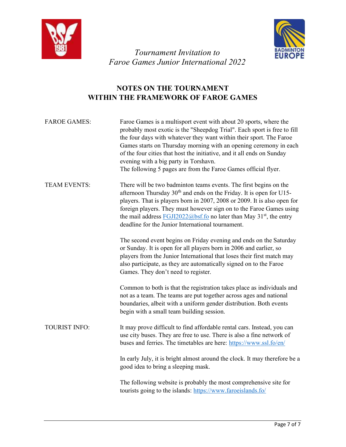



#### NOTES ON THE TOURNAMENT WITHIN THE FRAMEWORK OF FAROE GAMES

| <b>FAROE GAMES:</b>  | Faroe Games is a multisport event with about 20 sports, where the<br>probably most exotic is the "Sheepdog Trial". Each sport is free to fill<br>the four days with whatever they want within their sport. The Faroe<br>Games starts on Thursday morning with an opening ceremony in each<br>of the four cities that host the initiative, and it all ends on Sunday<br>evening with a big party in Torshavn.<br>The following 5 pages are from the Faroe Games official flyer. |
|----------------------|--------------------------------------------------------------------------------------------------------------------------------------------------------------------------------------------------------------------------------------------------------------------------------------------------------------------------------------------------------------------------------------------------------------------------------------------------------------------------------|
| <b>TEAM EVENTS:</b>  | There will be two badminton teams events. The first begins on the<br>afternoon Thursday 30 <sup>th</sup> and ends on the Friday. It is open for U15-<br>players. That is players born in 2007, 2008 or 2009. It is also open for<br>foreign players. They must however sign on to the Faroe Games using<br>the mail address $FGJI2022@bsf.fo$ no later than May 31 <sup>st</sup> , the entry<br>deadline for the Junior International tournament.                              |
|                      | The second event begins on Friday evening and ends on the Saturday<br>or Sunday. It is open for all players born in 2006 and earlier, so<br>players from the Junior International that loses their first match may<br>also participate, as they are automatically signed on to the Faroe<br>Games. They don't need to register.                                                                                                                                                |
|                      | Common to both is that the registration takes place as individuals and<br>not as a team. The teams are put together across ages and national<br>boundaries, albeit with a uniform gender distribution. Both events<br>begin with a small team building session.                                                                                                                                                                                                                |
| <b>TOURIST INFO:</b> | It may prove difficult to find affordable rental cars. Instead, you can<br>use city buses. They are free to use. There is also a fine network of<br>buses and ferries. The timetables are here: https://www.ssl.fo/en/                                                                                                                                                                                                                                                         |
|                      | In early July, it is bright almost around the clock. It may therefore be a<br>good idea to bring a sleeping mask.                                                                                                                                                                                                                                                                                                                                                              |
|                      | The following website is probably the most comprehensive site for<br>tourists going to the islands: https://www.faroeislands.fo/                                                                                                                                                                                                                                                                                                                                               |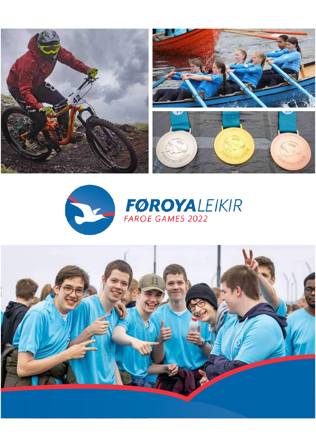





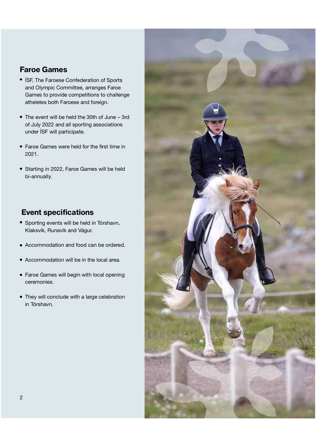#### Faroe Games

- ÍSF, The Faroese Confederation of Sports and Olympic Committee, arranges Faroe Games to provide competitions to challenge atheletes both Faroese and foreign.
- The event will be held the 30th of June 3rd of July 2022 and all sporting associations under ÍSF will participate.
- Faroe Games were held for the first time in 2021.
- Starting in 2022, Faroe Games will be held bi-annually.

#### Event specifications

- Sporting events will be held in Tórshavn, Klaksvík, Runavík and Vágur.
- Accommodation and food can be ordered.
- Accommodation will be in the local area.
- Faroe Games will begin with local opening ceremonies.
- They will conclude with a large celebration in Tórshavn.

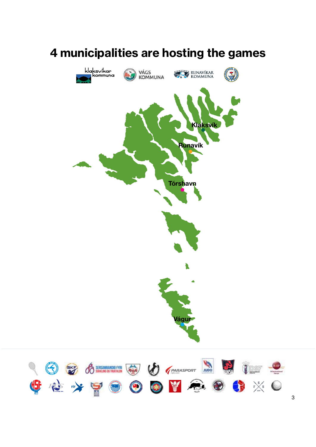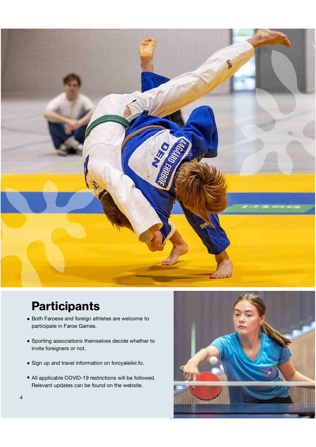

## **Participants**

- Both Faroese and foreign athletes are welcome to participate in Faroe Games.
- Sporting associations themselves decide whether to invite foreigners or not.
- Sign up and travel information on foroyaleikir.fo.
- All applicable COVID-19 restrictions will be followed. Relevant updates can be found on the website.